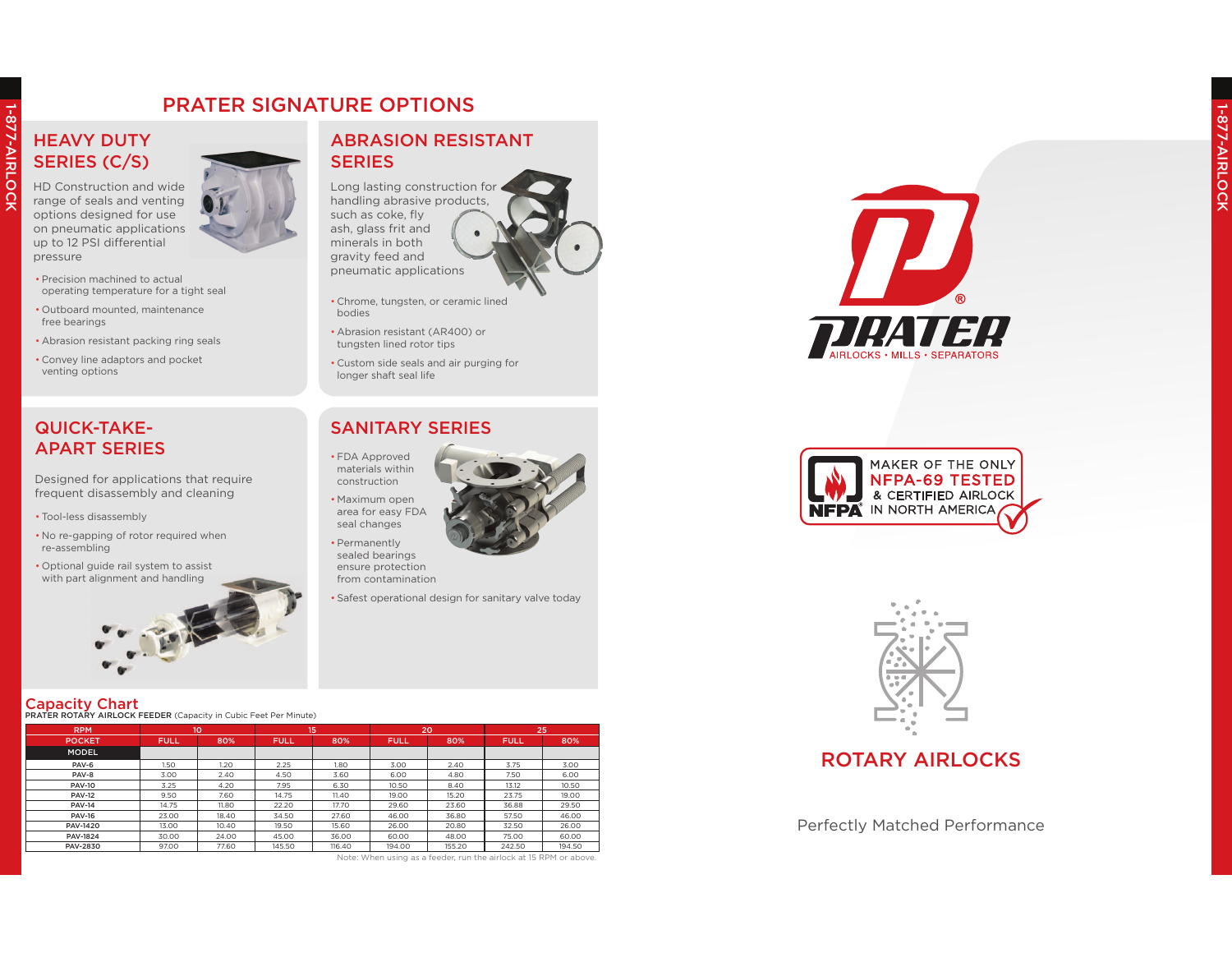### **HEAVY DUTY** SERIES (C/S)

1-877-AIRLOCK

1-877-AIRLOCK

HD Construction and wide range of seals and venting options designed for use on pneumatic applications up to 12 PSI differential pressure



- Outboard mounted, maintenancefree bearings
- Abrasion resistant packing ring seals
- Convey line adaptors and pocket venting options

### QUICK-TAKE-APART SERIES

Designed for applications that require frequent disassembly and cleaning

- Tool-less disassembly
- No re-gapping of rotor required when re-assembling
- Optional guide rail system to assist with part alignment and handling



### $\sf{Capacity~Char}$

| <b>RPM</b>                                                        | 10          |       | 15          |        | 20          |        | 25          |        |
|-------------------------------------------------------------------|-------------|-------|-------------|--------|-------------|--------|-------------|--------|
| <b>POCKET</b>                                                     | <b>FULL</b> | 80%   | <b>FULL</b> | 80%    | <b>FULL</b> | 80%    | <b>FULL</b> | 80%    |
| <b>MODEL</b>                                                      |             |       |             |        |             |        |             |        |
| PAV-6                                                             | 1.50        | 1.20  | 2.25        | 1.80   | 3.00        | 2.40   | 3.75        | 3.00   |
| PAV-8                                                             | 3.00        | 2.40  | 4.50        | 3.60   | 6.00        | 4.80   | 7.50        | 6.00   |
| <b>PAV-10</b>                                                     | 3.25        | 4.20  | 7.95        | 6.30   | 10.50       | 8.40   | 13.12       | 10.50  |
| <b>PAV-12</b>                                                     | 9.50        | 7.60  | 14.75       | 11.40  | 19.00       | 15.20  | 23.75       | 19.00  |
| <b>PAV-14</b>                                                     | 14.75       | 11.80 | 22.20       | 17.70  | 29.60       | 23.60  | 36.88       | 29.50  |
| <b>PAV-16</b>                                                     | 23.00       | 18.40 | 34.50       | 27.60  | 46.00       | 36.80  | 57.50       | 46.00  |
| <b>PAV-1420</b>                                                   | 13.00       | 10.40 | 19.50       | 15.60  | 26.00       | 20.80  | 32.50       | 26.00  |
| <b>PAV-1824</b>                                                   | 30.00       | 24.00 | 45.00       | 36.00  | 60.00       | 48.00  | 75.00       | 60.00  |
| PAV-2830                                                          | 97.00       | 77.60 | 145.50      | 116.40 | 194.00      | 155.20 | 242.50      | 194.50 |
| Note: When using as a feeder, run the airlock at 15 RPM or above. |             |       |             |        |             |        |             |        |



 Long lasting construction for handling abrasive products, such as coke, fly ash, glass frit and minerals in both gravity feed and pneumatic applications

- Chrome, tungsten, or ceramic lined bodies
- Abrasion resistant (AR400) or tungsten lined rotor tips
- Custom side seals and air purging for longer shaft seal life

#### SANITARY SERIES

- FDA Approved materials within construction
- Maximum open area for easy FDA seal changes
	- Permanently sealed bearings ensure protectionfrom contamination
	- Safest operational design for sanitary valve today







### ROTARY AIRLOCKS

Perfectly Matched Performance